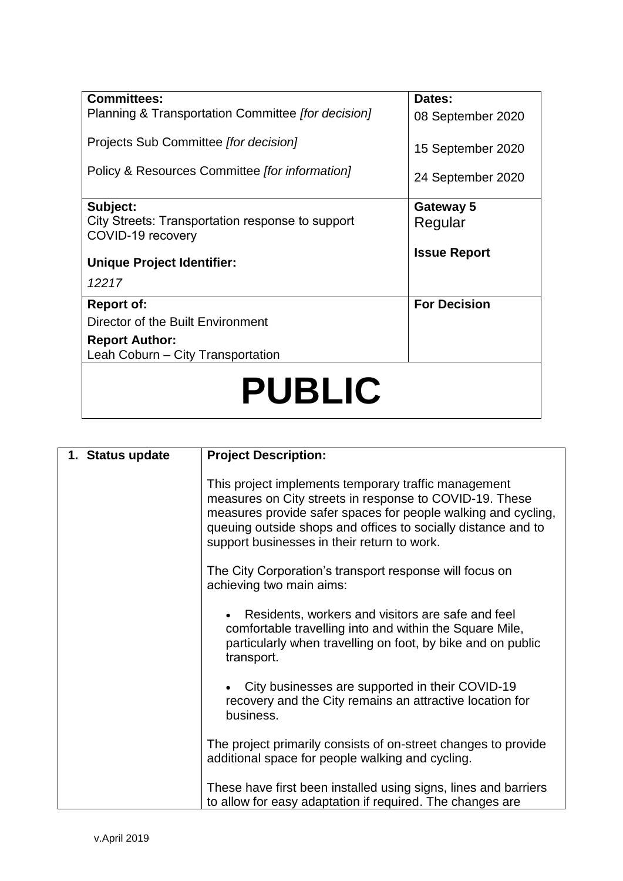| <b>Committees:</b><br>Planning & Transportation Committee [for decision]          | Dates:<br>08 September 2020 |  |
|-----------------------------------------------------------------------------------|-----------------------------|--|
| Projects Sub Committee [for decision]                                             |                             |  |
| Policy & Resources Committee [for information]                                    | 15 September 2020           |  |
|                                                                                   | 24 September 2020           |  |
| Subject:<br>City Streets: Transportation response to support<br>COVID-19 recovery | Gateway 5<br>Regular        |  |
| <b>Unique Project Identifier:</b>                                                 | <b>Issue Report</b>         |  |
| 12217                                                                             |                             |  |
| <b>Report of:</b>                                                                 | <b>For Decision</b>         |  |
| Director of the Built Environment                                                 |                             |  |
| <b>Report Author:</b><br>Leah Coburn - City Transportation                        |                             |  |
| <b>PUBLIC</b>                                                                     |                             |  |

| 1. Status update | <b>Project Description:</b>                                                                                                                                                                                                                                                                      |
|------------------|--------------------------------------------------------------------------------------------------------------------------------------------------------------------------------------------------------------------------------------------------------------------------------------------------|
|                  | This project implements temporary traffic management<br>measures on City streets in response to COVID-19. These<br>measures provide safer spaces for people walking and cycling,<br>queuing outside shops and offices to socially distance and to<br>support businesses in their return to work. |
|                  | The City Corporation's transport response will focus on<br>achieving two main aims:                                                                                                                                                                                                              |
|                  | Residents, workers and visitors are safe and feel<br>comfortable travelling into and within the Square Mile,<br>particularly when travelling on foot, by bike and on public<br>transport.                                                                                                        |
|                  | City businesses are supported in their COVID-19<br>recovery and the City remains an attractive location for<br>business.                                                                                                                                                                         |
|                  | The project primarily consists of on-street changes to provide<br>additional space for people walking and cycling.                                                                                                                                                                               |
|                  | These have first been installed using signs, lines and barriers<br>to allow for easy adaptation if required. The changes are                                                                                                                                                                     |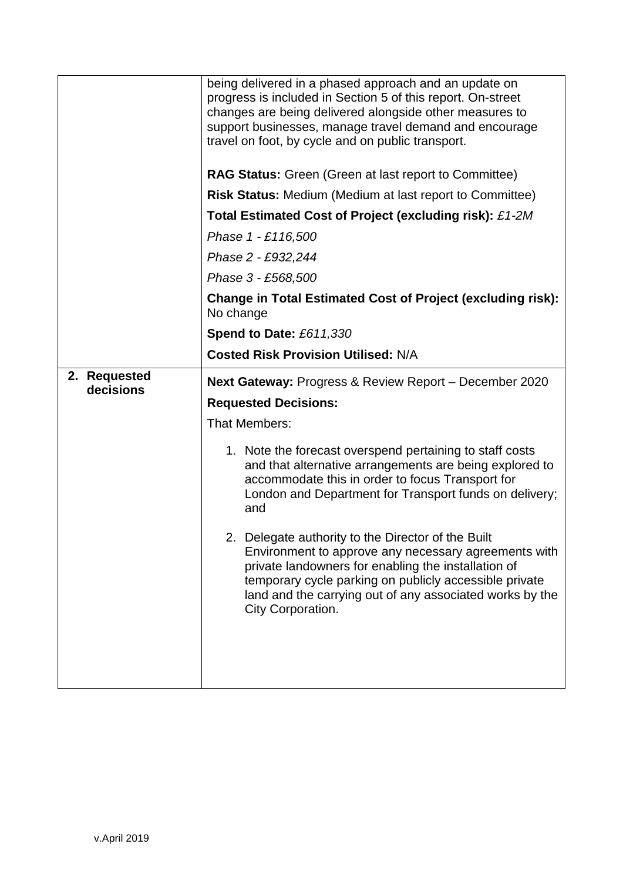|                           | being delivered in a phased approach and an update on<br>progress is included in Section 5 of this report. On-street<br>changes are being delivered alongside other measures to<br>support businesses, manage travel demand and encourage<br>travel on foot, by cycle and on public transport.               |
|---------------------------|--------------------------------------------------------------------------------------------------------------------------------------------------------------------------------------------------------------------------------------------------------------------------------------------------------------|
|                           | <b>RAG Status:</b> Green (Green at last report to Committee)                                                                                                                                                                                                                                                 |
|                           | <b>Risk Status: Medium (Medium at last report to Committee)</b>                                                                                                                                                                                                                                              |
|                           | Total Estimated Cost of Project (excluding risk): £1-2M                                                                                                                                                                                                                                                      |
|                           | Phase 1 - £116,500                                                                                                                                                                                                                                                                                           |
|                           | Phase 2 - £932,244                                                                                                                                                                                                                                                                                           |
|                           | Phase 3 - £568,500                                                                                                                                                                                                                                                                                           |
|                           | <b>Change in Total Estimated Cost of Project (excluding risk):</b><br>No change                                                                                                                                                                                                                              |
|                           | Spend to Date: £611,330                                                                                                                                                                                                                                                                                      |
|                           | <b>Costed Risk Provision Utilised: N/A</b>                                                                                                                                                                                                                                                                   |
| 2. Requested<br>decisions | <b>Next Gateway: Progress &amp; Review Report - December 2020</b>                                                                                                                                                                                                                                            |
|                           | <b>Requested Decisions:</b>                                                                                                                                                                                                                                                                                  |
|                           | <b>That Members:</b>                                                                                                                                                                                                                                                                                         |
|                           | 1. Note the forecast overspend pertaining to staff costs<br>and that alternative arrangements are being explored to<br>accommodate this in order to focus Transport for<br>London and Department for Transport funds on delivery;<br>and                                                                     |
|                           | 2. Delegate authority to the Director of the Built<br>Environment to approve any necessary agreements with<br>private landowners for enabling the installation of<br>temporary cycle parking on publicly accessible private<br>land and the carrying out of any associated works by the<br>City Corporation. |
|                           |                                                                                                                                                                                                                                                                                                              |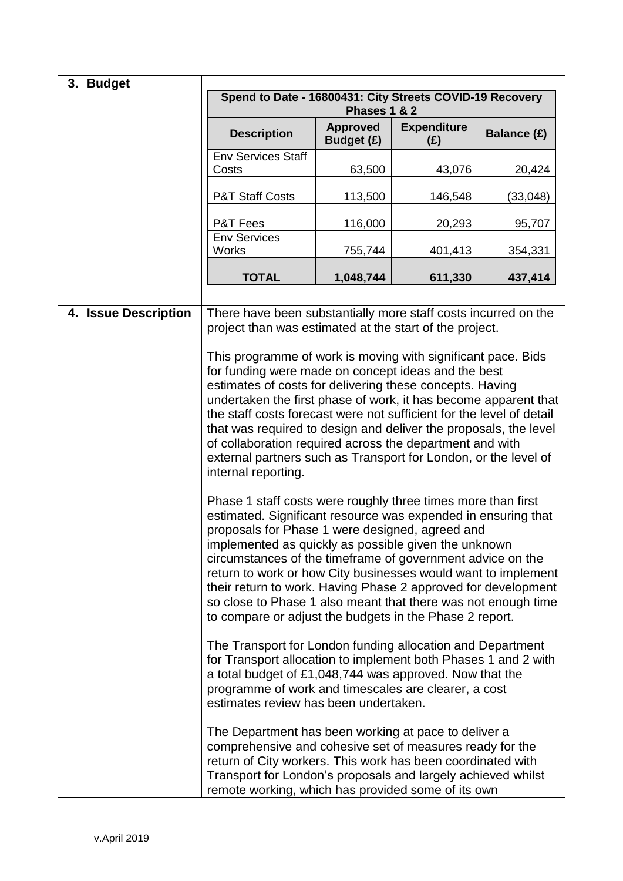| 3. Budget            |                                                                                                                                                                                                                                                                                                                                                                                                                                                                                                                                                                      |                                      |                           |             |
|----------------------|----------------------------------------------------------------------------------------------------------------------------------------------------------------------------------------------------------------------------------------------------------------------------------------------------------------------------------------------------------------------------------------------------------------------------------------------------------------------------------------------------------------------------------------------------------------------|--------------------------------------|---------------------------|-------------|
|                      | Spend to Date - 16800431: City Streets COVID-19 Recovery<br>Phases 1 & 2                                                                                                                                                                                                                                                                                                                                                                                                                                                                                             |                                      |                           |             |
|                      | <b>Description</b>                                                                                                                                                                                                                                                                                                                                                                                                                                                                                                                                                   | <b>Approved</b><br><b>Budget (£)</b> | <b>Expenditure</b><br>(E) | Balance (£) |
|                      | <b>Env Services Staff</b><br>Costs                                                                                                                                                                                                                                                                                                                                                                                                                                                                                                                                   | 63,500                               | 43,076                    | 20,424      |
|                      | <b>P&amp;T Staff Costs</b>                                                                                                                                                                                                                                                                                                                                                                                                                                                                                                                                           | 113,500                              | 146,548                   | (33,048)    |
|                      | P&T Fees                                                                                                                                                                                                                                                                                                                                                                                                                                                                                                                                                             | 116,000                              | 20,293                    | 95,707      |
|                      | <b>Env Services</b><br>Works                                                                                                                                                                                                                                                                                                                                                                                                                                                                                                                                         | 755,744                              | 401,413                   | 354,331     |
|                      | <b>TOTAL</b>                                                                                                                                                                                                                                                                                                                                                                                                                                                                                                                                                         | 1,048,744                            | 611,330                   | 437,414     |
| 4. Issue Description | There have been substantially more staff costs incurred on the<br>project than was estimated at the start of the project.                                                                                                                                                                                                                                                                                                                                                                                                                                            |                                      |                           |             |
|                      | This programme of work is moving with significant pace. Bids<br>for funding were made on concept ideas and the best<br>estimates of costs for delivering these concepts. Having<br>undertaken the first phase of work, it has become apparent that<br>the staff costs forecast were not sufficient for the level of detail<br>that was required to design and deliver the proposals, the level<br>of collaboration required across the department and with<br>external partners such as Transport for London, or the level of<br>internal reporting.                 |                                      |                           |             |
|                      | Phase 1 staff costs were roughly three times more than first<br>estimated. Significant resource was expended in ensuring that<br>proposals for Phase 1 were designed, agreed and<br>implemented as quickly as possible given the unknown<br>circumstances of the timeframe of government advice on the<br>return to work or how City businesses would want to implement<br>their return to work. Having Phase 2 approved for development<br>so close to Phase 1 also meant that there was not enough time<br>to compare or adjust the budgets in the Phase 2 report. |                                      |                           |             |
|                      | The Transport for London funding allocation and Department<br>for Transport allocation to implement both Phases 1 and 2 with<br>a total budget of £1,048,744 was approved. Now that the<br>programme of work and timescales are clearer, a cost<br>estimates review has been undertaken.                                                                                                                                                                                                                                                                             |                                      |                           |             |
|                      | The Department has been working at pace to deliver a<br>comprehensive and cohesive set of measures ready for the<br>return of City workers. This work has been coordinated with<br>Transport for London's proposals and largely achieved whilst<br>remote working, which has provided some of its own                                                                                                                                                                                                                                                                |                                      |                           |             |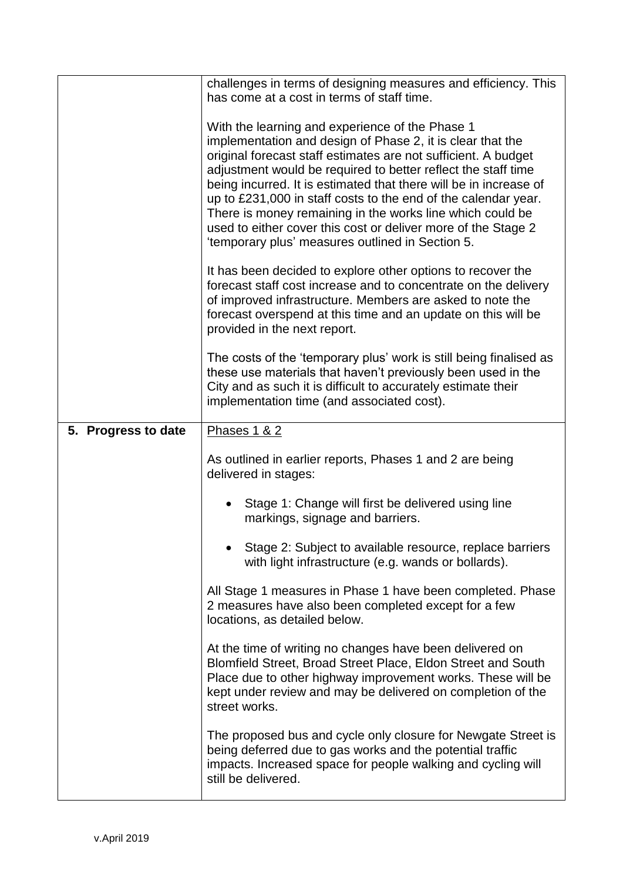|                     | challenges in terms of designing measures and efficiency. This<br>has come at a cost in terms of staff time.                    |
|---------------------|---------------------------------------------------------------------------------------------------------------------------------|
|                     |                                                                                                                                 |
|                     | With the learning and experience of the Phase 1                                                                                 |
|                     | implementation and design of Phase 2, it is clear that the                                                                      |
|                     | original forecast staff estimates are not sufficient. A budget<br>adjustment would be required to better reflect the staff time |
|                     | being incurred. It is estimated that there will be in increase of                                                               |
|                     | up to £231,000 in staff costs to the end of the calendar year.                                                                  |
|                     | There is money remaining in the works line which could be                                                                       |
|                     | used to either cover this cost or deliver more of the Stage 2                                                                   |
|                     | 'temporary plus' measures outlined in Section 5.                                                                                |
|                     | It has been decided to explore other options to recover the                                                                     |
|                     | forecast staff cost increase and to concentrate on the delivery<br>of improved infrastructure. Members are asked to note the    |
|                     | forecast overspend at this time and an update on this will be                                                                   |
|                     | provided in the next report.                                                                                                    |
|                     | The costs of the 'temporary plus' work is still being finalised as                                                              |
|                     | these use materials that haven't previously been used in the                                                                    |
|                     | City and as such it is difficult to accurately estimate their                                                                   |
|                     | implementation time (and associated cost).                                                                                      |
| 5. Progress to date | Phases 1 & 2                                                                                                                    |
|                     | As outlined in earlier reports, Phases 1 and 2 are being                                                                        |
|                     | delivered in stages:                                                                                                            |
|                     |                                                                                                                                 |
|                     | Stage 1: Change will first be delivered using line<br>markings, signage and barriers.                                           |
|                     |                                                                                                                                 |
|                     | Stage 2: Subject to available resource, replace barriers<br>with light infrastructure (e.g. wands or bollards).                 |
|                     |                                                                                                                                 |
|                     | All Stage 1 measures in Phase 1 have been completed. Phase<br>2 measures have also been completed except for a few              |
|                     | locations, as detailed below.                                                                                                   |
|                     | At the time of writing no changes have been delivered on                                                                        |
|                     | Blomfield Street, Broad Street Place, Eldon Street and South                                                                    |
|                     | Place due to other highway improvement works. These will be                                                                     |
|                     | kept under review and may be delivered on completion of the<br>street works.                                                    |
|                     |                                                                                                                                 |
|                     | The proposed bus and cycle only closure for Newgate Street is<br>being deferred due to gas works and the potential traffic      |
|                     | impacts. Increased space for people walking and cycling will                                                                    |
|                     | still be delivered.                                                                                                             |
|                     |                                                                                                                                 |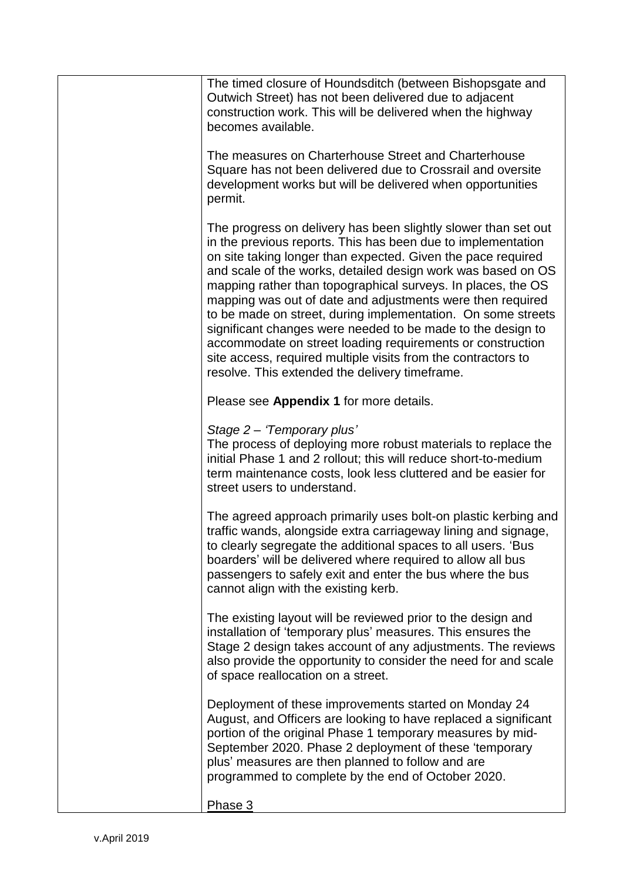| The timed closure of Houndsditch (between Bishopsgate and<br>Outwich Street) has not been delivered due to adjacent<br>construction work. This will be delivered when the highway<br>becomes available.                                                                                                                                                                                                                                                                                                                                                                                                                                                                                                      |
|--------------------------------------------------------------------------------------------------------------------------------------------------------------------------------------------------------------------------------------------------------------------------------------------------------------------------------------------------------------------------------------------------------------------------------------------------------------------------------------------------------------------------------------------------------------------------------------------------------------------------------------------------------------------------------------------------------------|
| The measures on Charterhouse Street and Charterhouse<br>Square has not been delivered due to Crossrail and oversite<br>development works but will be delivered when opportunities<br>permit.                                                                                                                                                                                                                                                                                                                                                                                                                                                                                                                 |
| The progress on delivery has been slightly slower than set out<br>in the previous reports. This has been due to implementation<br>on site taking longer than expected. Given the pace required<br>and scale of the works, detailed design work was based on OS<br>mapping rather than topographical surveys. In places, the OS<br>mapping was out of date and adjustments were then required<br>to be made on street, during implementation. On some streets<br>significant changes were needed to be made to the design to<br>accommodate on street loading requirements or construction<br>site access, required multiple visits from the contractors to<br>resolve. This extended the delivery timeframe. |
| Please see Appendix 1 for more details.                                                                                                                                                                                                                                                                                                                                                                                                                                                                                                                                                                                                                                                                      |
| Stage 2 - 'Temporary plus'<br>The process of deploying more robust materials to replace the<br>initial Phase 1 and 2 rollout; this will reduce short-to-medium<br>term maintenance costs, look less cluttered and be easier for<br>street users to understand.                                                                                                                                                                                                                                                                                                                                                                                                                                               |
| The agreed approach primarily uses bolt-on plastic kerbing and<br>traffic wands, alongside extra carriageway lining and signage,<br>to clearly segregate the additional spaces to all users. 'Bus<br>boarders' will be delivered where required to allow all bus<br>passengers to safely exit and enter the bus where the bus<br>cannot align with the existing kerb.                                                                                                                                                                                                                                                                                                                                        |
| The existing layout will be reviewed prior to the design and<br>installation of 'temporary plus' measures. This ensures the<br>Stage 2 design takes account of any adjustments. The reviews<br>also provide the opportunity to consider the need for and scale<br>of space reallocation on a street.                                                                                                                                                                                                                                                                                                                                                                                                         |
| Deployment of these improvements started on Monday 24<br>August, and Officers are looking to have replaced a significant<br>portion of the original Phase 1 temporary measures by mid-<br>September 2020. Phase 2 deployment of these 'temporary<br>plus' measures are then planned to follow and are<br>programmed to complete by the end of October 2020.                                                                                                                                                                                                                                                                                                                                                  |
| Phase 3                                                                                                                                                                                                                                                                                                                                                                                                                                                                                                                                                                                                                                                                                                      |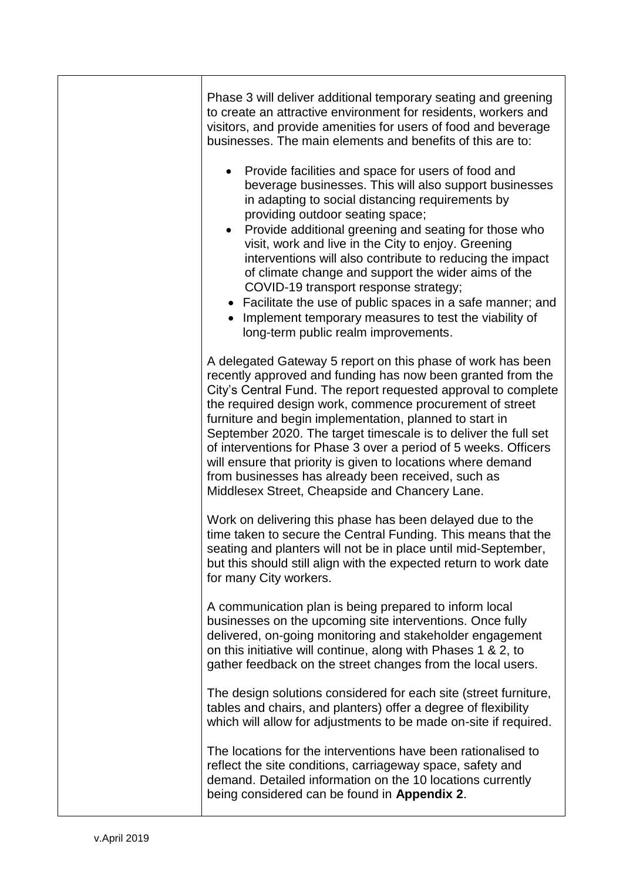| Phase 3 will deliver additional temporary seating and greening<br>to create an attractive environment for residents, workers and<br>visitors, and provide amenities for users of food and beverage<br>businesses. The main elements and benefits of this are to:                                                                                                                                                                                                                                                                                                                                                                                  |
|---------------------------------------------------------------------------------------------------------------------------------------------------------------------------------------------------------------------------------------------------------------------------------------------------------------------------------------------------------------------------------------------------------------------------------------------------------------------------------------------------------------------------------------------------------------------------------------------------------------------------------------------------|
| Provide facilities and space for users of food and<br>beverage businesses. This will also support businesses<br>in adapting to social distancing requirements by<br>providing outdoor seating space;<br>Provide additional greening and seating for those who<br>visit, work and live in the City to enjoy. Greening<br>interventions will also contribute to reducing the impact<br>of climate change and support the wider aims of the<br>COVID-19 transport response strategy;<br>• Facilitate the use of public spaces in a safe manner; and<br>Implement temporary measures to test the viability of<br>long-term public realm improvements. |
| A delegated Gateway 5 report on this phase of work has been<br>recently approved and funding has now been granted from the<br>City's Central Fund. The report requested approval to complete<br>the required design work, commence procurement of street<br>furniture and begin implementation, planned to start in<br>September 2020. The target timescale is to deliver the full set<br>of interventions for Phase 3 over a period of 5 weeks. Officers<br>will ensure that priority is given to locations where demand<br>from businesses has already been received, such as<br>Middlesex Street, Cheapside and Chancery Lane.                 |
| Work on delivering this phase has been delayed due to the<br>time taken to secure the Central Funding. This means that the<br>seating and planters will not be in place until mid-September,<br>but this should still align with the expected return to work date<br>for many City workers.                                                                                                                                                                                                                                                                                                                                                       |
| A communication plan is being prepared to inform local<br>businesses on the upcoming site interventions. Once fully<br>delivered, on-going monitoring and stakeholder engagement<br>on this initiative will continue, along with Phases 1 & 2, to<br>gather feedback on the street changes from the local users.                                                                                                                                                                                                                                                                                                                                  |
| The design solutions considered for each site (street furniture,<br>tables and chairs, and planters) offer a degree of flexibility<br>which will allow for adjustments to be made on-site if required.                                                                                                                                                                                                                                                                                                                                                                                                                                            |
| The locations for the interventions have been rationalised to<br>reflect the site conditions, carriageway space, safety and<br>demand. Detailed information on the 10 locations currently<br>being considered can be found in Appendix 2.                                                                                                                                                                                                                                                                                                                                                                                                         |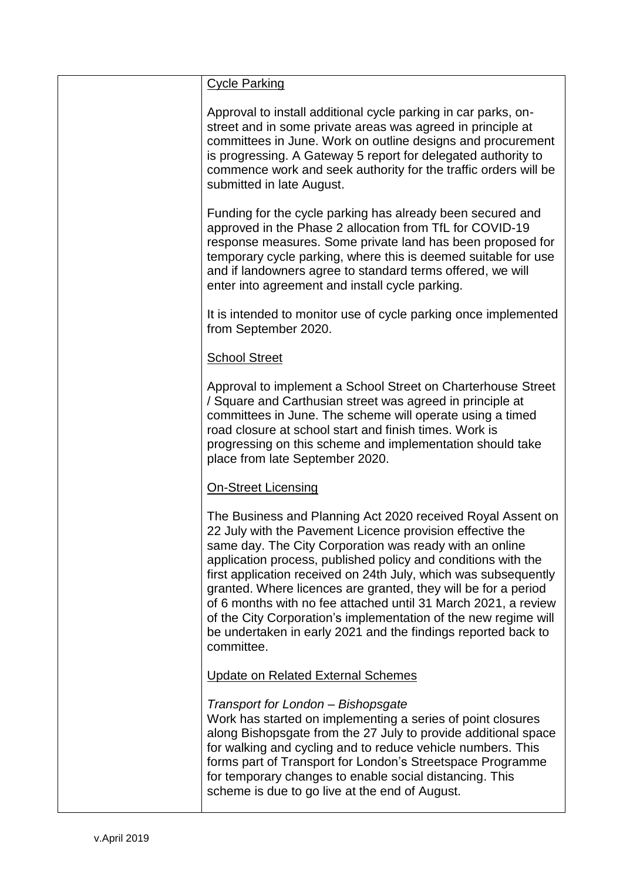| <b>Cycle Parking</b>                                                                                                                                                                                                                                                                                                                                                                                                                                                                                                                                                                                          |
|---------------------------------------------------------------------------------------------------------------------------------------------------------------------------------------------------------------------------------------------------------------------------------------------------------------------------------------------------------------------------------------------------------------------------------------------------------------------------------------------------------------------------------------------------------------------------------------------------------------|
| Approval to install additional cycle parking in car parks, on-<br>street and in some private areas was agreed in principle at<br>committees in June. Work on outline designs and procurement<br>is progressing. A Gateway 5 report for delegated authority to<br>commence work and seek authority for the traffic orders will be<br>submitted in late August.                                                                                                                                                                                                                                                 |
| Funding for the cycle parking has already been secured and<br>approved in the Phase 2 allocation from TfL for COVID-19<br>response measures. Some private land has been proposed for<br>temporary cycle parking, where this is deemed suitable for use<br>and if landowners agree to standard terms offered, we will<br>enter into agreement and install cycle parking.                                                                                                                                                                                                                                       |
| It is intended to monitor use of cycle parking once implemented<br>from September 2020.                                                                                                                                                                                                                                                                                                                                                                                                                                                                                                                       |
| <b>School Street</b>                                                                                                                                                                                                                                                                                                                                                                                                                                                                                                                                                                                          |
| Approval to implement a School Street on Charterhouse Street<br>/ Square and Carthusian street was agreed in principle at<br>committees in June. The scheme will operate using a timed<br>road closure at school start and finish times. Work is<br>progressing on this scheme and implementation should take<br>place from late September 2020.                                                                                                                                                                                                                                                              |
| <b>On-Street Licensing</b>                                                                                                                                                                                                                                                                                                                                                                                                                                                                                                                                                                                    |
| The Business and Planning Act 2020 received Royal Assent on<br>22 July with the Pavement Licence provision effective the<br>same day. The City Corporation was ready with an online<br>application process, published policy and conditions with the<br>first application received on 24th July, which was subsequently<br>granted. Where licences are granted, they will be for a period<br>of 6 months with no fee attached until 31 March 2021, a review<br>of the City Corporation's implementation of the new regime will<br>be undertaken in early 2021 and the findings reported back to<br>committee. |
| <b>Update on Related External Schemes</b>                                                                                                                                                                                                                                                                                                                                                                                                                                                                                                                                                                     |
| Transport for London - Bishopsgate<br>Work has started on implementing a series of point closures<br>along Bishopsgate from the 27 July to provide additional space<br>for walking and cycling and to reduce vehicle numbers. This<br>forms part of Transport for London's Streetspace Programme<br>for temporary changes to enable social distancing. This<br>scheme is due to go live at the end of August.                                                                                                                                                                                                 |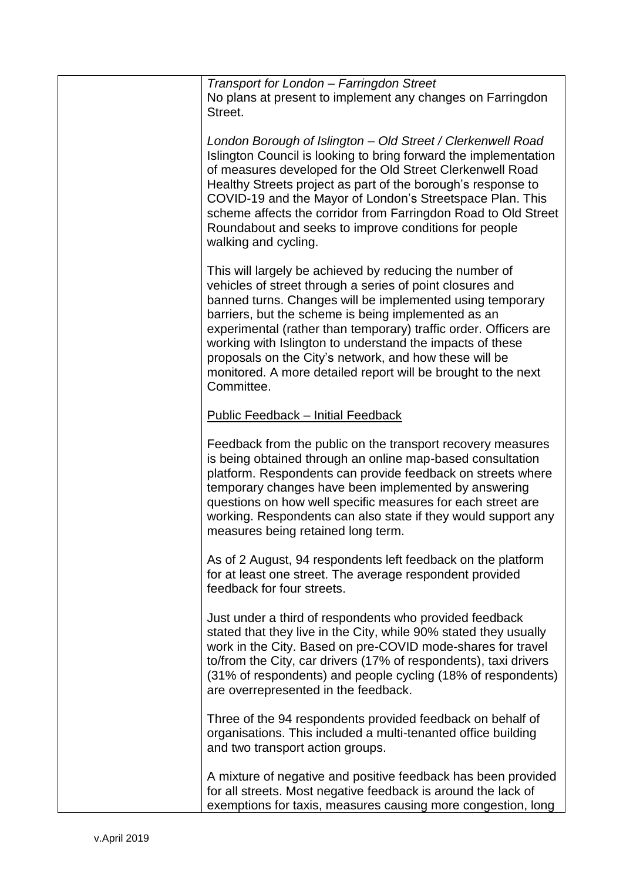| Transport for London - Farringdon Street<br>No plans at present to implement any changes on Farringdon<br>Street.                                                                                                                                                                                                                                                                                                                                                                                                  |
|--------------------------------------------------------------------------------------------------------------------------------------------------------------------------------------------------------------------------------------------------------------------------------------------------------------------------------------------------------------------------------------------------------------------------------------------------------------------------------------------------------------------|
| London Borough of Islington - Old Street / Clerkenwell Road<br>Islington Council is looking to bring forward the implementation<br>of measures developed for the Old Street Clerkenwell Road<br>Healthy Streets project as part of the borough's response to<br>COVID-19 and the Mayor of London's Streetspace Plan. This<br>scheme affects the corridor from Farringdon Road to Old Street<br>Roundabout and seeks to improve conditions for people<br>walking and cycling.                                       |
| This will largely be achieved by reducing the number of<br>vehicles of street through a series of point closures and<br>banned turns. Changes will be implemented using temporary<br>barriers, but the scheme is being implemented as an<br>experimental (rather than temporary) traffic order. Officers are<br>working with Islington to understand the impacts of these<br>proposals on the City's network, and how these will be<br>monitored. A more detailed report will be brought to the next<br>Committee. |
| <b>Public Feedback - Initial Feedback</b>                                                                                                                                                                                                                                                                                                                                                                                                                                                                          |
| Feedback from the public on the transport recovery measures<br>is being obtained through an online map-based consultation<br>platform. Respondents can provide feedback on streets where<br>temporary changes have been implemented by answering<br>questions on how well specific measures for each street are<br>working. Respondents can also state if they would support any<br>measures being retained long term.                                                                                             |
| As of 2 August, 94 respondents left feedback on the platform<br>for at least one street. The average respondent provided<br>feedback for four streets.                                                                                                                                                                                                                                                                                                                                                             |
| Just under a third of respondents who provided feedback<br>stated that they live in the City, while 90% stated they usually<br>work in the City. Based on pre-COVID mode-shares for travel<br>to/from the City, car drivers (17% of respondents), taxi drivers<br>(31% of respondents) and people cycling (18% of respondents)<br>are overrepresented in the feedback.                                                                                                                                             |
| Three of the 94 respondents provided feedback on behalf of<br>organisations. This included a multi-tenanted office building<br>and two transport action groups.                                                                                                                                                                                                                                                                                                                                                    |
| A mixture of negative and positive feedback has been provided<br>for all streets. Most negative feedback is around the lack of<br>exemptions for taxis, measures causing more congestion, long                                                                                                                                                                                                                                                                                                                     |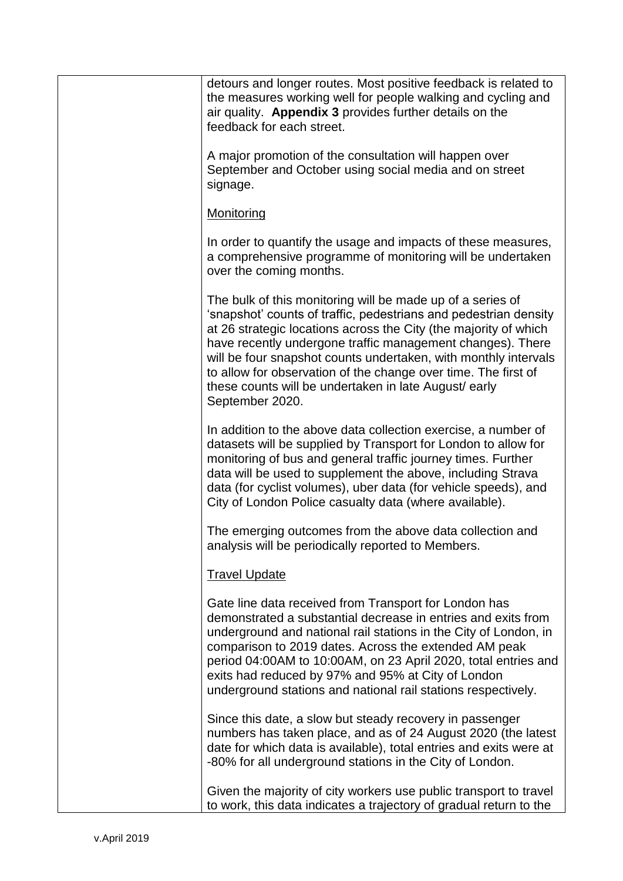| detours and longer routes. Most positive feedback is related to<br>the measures working well for people walking and cycling and<br>air quality. Appendix 3 provides further details on the<br>feedback for each street.                                                                                                                                                                                                                                                           |
|-----------------------------------------------------------------------------------------------------------------------------------------------------------------------------------------------------------------------------------------------------------------------------------------------------------------------------------------------------------------------------------------------------------------------------------------------------------------------------------|
| A major promotion of the consultation will happen over<br>September and October using social media and on street<br>signage.                                                                                                                                                                                                                                                                                                                                                      |
| <b>Monitoring</b>                                                                                                                                                                                                                                                                                                                                                                                                                                                                 |
| In order to quantify the usage and impacts of these measures,<br>a comprehensive programme of monitoring will be undertaken<br>over the coming months.                                                                                                                                                                                                                                                                                                                            |
| The bulk of this monitoring will be made up of a series of<br>'snapshot' counts of traffic, pedestrians and pedestrian density<br>at 26 strategic locations across the City (the majority of which<br>have recently undergone traffic management changes). There<br>will be four snapshot counts undertaken, with monthly intervals<br>to allow for observation of the change over time. The first of<br>these counts will be undertaken in late August/ early<br>September 2020. |
| In addition to the above data collection exercise, a number of<br>datasets will be supplied by Transport for London to allow for<br>monitoring of bus and general traffic journey times. Further<br>data will be used to supplement the above, including Strava<br>data (for cyclist volumes), uber data (for vehicle speeds), and<br>City of London Police casualty data (where available).                                                                                      |
| The emerging outcomes from the above data collection and<br>analysis will be periodically reported to Members.                                                                                                                                                                                                                                                                                                                                                                    |
| <b>Travel Update</b>                                                                                                                                                                                                                                                                                                                                                                                                                                                              |
| Gate line data received from Transport for London has<br>demonstrated a substantial decrease in entries and exits from<br>underground and national rail stations in the City of London, in<br>comparison to 2019 dates. Across the extended AM peak<br>period 04:00AM to 10:00AM, on 23 April 2020, total entries and<br>exits had reduced by 97% and 95% at City of London<br>underground stations and national rail stations respectively.                                      |
| Since this date, a slow but steady recovery in passenger<br>numbers has taken place, and as of 24 August 2020 (the latest<br>date for which data is available), total entries and exits were at<br>-80% for all underground stations in the City of London.                                                                                                                                                                                                                       |
| Given the majority of city workers use public transport to travel<br>to work, this data indicates a trajectory of gradual return to the                                                                                                                                                                                                                                                                                                                                           |